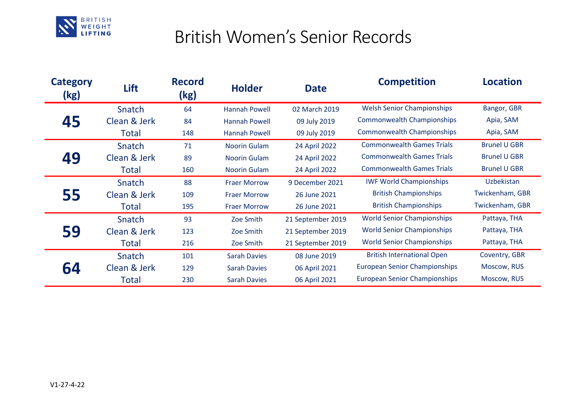

## British Women's Senior Records

| <b>Category</b><br>(kg) | Lift         | <b>Record</b><br>(kg) | <b>Holder</b>       | <b>Date</b>       | <b>Competition</b>                   | <b>Location</b>     |
|-------------------------|--------------|-----------------------|---------------------|-------------------|--------------------------------------|---------------------|
| 45                      | Snatch       | 64                    | Hannah Powell       | 02 March 2019     | <b>Welsh Senior Championships</b>    | Bangor, GBR         |
|                         | Clean & Jerk | 84                    | Hannah Powell       | 09 July 2019      | <b>Commonwealth Championships</b>    | Apia, SAM           |
|                         | <b>Total</b> | 148                   | Hannah Powell       | 09 July 2019      | <b>Commonwealth Championships</b>    | Apia, SAM           |
| 49                      | Snatch       | 71                    | <b>Noorin Gulam</b> | 24 April 2022     | <b>Commonwealth Games Trials</b>     | <b>Brunel U GBR</b> |
|                         | Clean & Jerk | 89                    | <b>Noorin Gulam</b> | 24 April 2022     | <b>Commonwealth Games Trials</b>     | <b>Brunel U GBR</b> |
|                         | Total        | 160                   | <b>Noorin Gulam</b> | 24 April 2022     | <b>Commonwealth Games Trials</b>     | <b>Brunel U GBR</b> |
| 55                      | Snatch       | 88                    | <b>Fraer Morrow</b> | 9 December 2021   | <b>IWF World Championships</b>       | Uzbekistan          |
|                         | Clean & Jerk | 109                   | <b>Fraer Morrow</b> | 26 June 2021      | <b>British Championships</b>         | Twickenham, GBR     |
|                         | Total        | 195                   | <b>Fraer Morrow</b> | 26 June 2021      | <b>British Championships</b>         | Twickenham, GBR     |
| 59                      | Snatch       | 93                    | Zoe Smith           | 21 September 2019 | <b>World Senior Championships</b>    | Pattaya, THA        |
|                         | Clean & Jerk | 123                   | Zoe Smith           | 21 September 2019 | <b>World Senior Championships</b>    | Pattaya, THA        |
|                         | Total        | 216                   | Zoe Smith           | 21 September 2019 | <b>World Senior Championships</b>    | Pattaya, THA        |
| 64                      | Snatch       | 101                   | <b>Sarah Davies</b> | 08 June 2019      | <b>British International Open</b>    | Coventry, GBR       |
|                         | Clean & Jerk | 129                   | <b>Sarah Davies</b> | 06 April 2021     | <b>European Senior Championships</b> | Moscow, RUS         |
|                         | Total        | 230                   | <b>Sarah Davies</b> | 06 April 2021     | <b>European Senior Championships</b> | Moscow, RUS         |